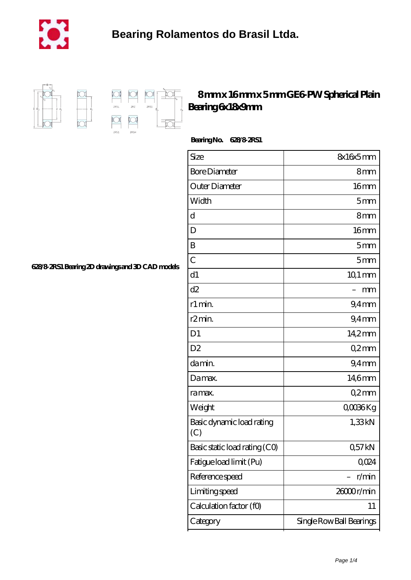

 $\overline{\mathbb{D}}$ 



## **[8 mm x 16 mm x 5 mm GE6-PW Spherical Plain](https://m.cityofwaverly.org/ar-466706-ge6-pw-spherical-plain-bearing-6x18x9mm.html) [Bearing 6x18x9mm](https://m.cityofwaverly.org/ar-466706-ge6-pw-spherical-plain-bearing-6x18x9mm.html)**

 **Bearing No. 628/8-2RS1**

| Size                             | 8x16x5mm                 |
|----------------------------------|--------------------------|
| <b>Bore Diameter</b>             | 8mm                      |
| Outer Diameter                   | 16mm                     |
| Width                            | 5 <sub>mm</sub>          |
| d                                | 8 <sub>mm</sub>          |
| D                                | 16 <sub>mm</sub>         |
| B                                | 5mm                      |
| $\overline{C}$                   | 5mm                      |
| d1                               | $101 \,\mathrm{mm}$      |
| d2                               | mm                       |
| r1 min.                          | $9.4$ mm                 |
| r <sub>2</sub> min.              | $94$ mm                  |
| D <sub>1</sub>                   | 14,2mm                   |
| D <sub>2</sub>                   | Q2mm                     |
| da min.                          | 9.4 <sub>mm</sub>        |
| Damax.                           | 14,6mm                   |
| ra max.                          | Q2mm                     |
| Weight                           | QOO36Kg                  |
| Basic dynamic load rating<br>(C) | 1,33kN                   |
| Basic static load rating (CO)    | Q57kN                    |
| Fatigue load limit (Pu)          | Q024                     |
| Reference speed                  | r/min                    |
| Limiting speed                   | 26000r/min               |
| Calculation factor (f0)          | 11                       |
| Category                         | Single Row Ball Bearings |

**[628/8-2RS1 Bearing 2D drawings and 3D CAD models](https://m.cityofwaverly.org/pic-466706.html)**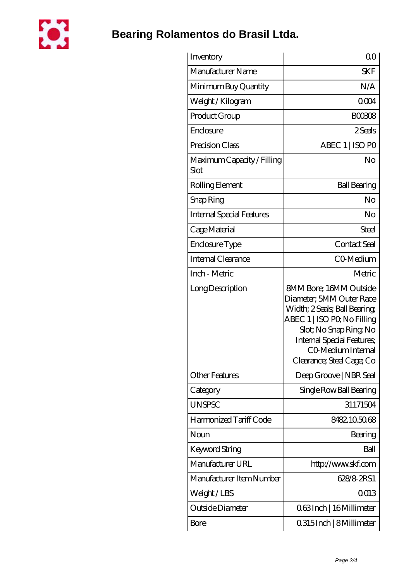

## **[Bearing Rolamentos do Brasil Ltda.](https://m.cityofwaverly.org)**

| Inventory                          | 0 <sup>0</sup>                                                                                                                                                                                                                           |
|------------------------------------|------------------------------------------------------------------------------------------------------------------------------------------------------------------------------------------------------------------------------------------|
| Manufacturer Name                  | <b>SKF</b>                                                                                                                                                                                                                               |
| Minimum Buy Quantity               | N/A                                                                                                                                                                                                                                      |
| Weight / Kilogram                  | 0004                                                                                                                                                                                                                                     |
| Product Group                      | <b>BOO308</b>                                                                                                                                                                                                                            |
| Enclosure                          | 2 Seals                                                                                                                                                                                                                                  |
| Precision Class                    | ABEC 1   ISO PO                                                                                                                                                                                                                          |
| Maximum Capacity / Filling<br>Slot | No                                                                                                                                                                                                                                       |
| Rolling Element                    | <b>Ball Bearing</b>                                                                                                                                                                                                                      |
| Snap Ring                          | No                                                                                                                                                                                                                                       |
| <b>Internal Special Features</b>   | No                                                                                                                                                                                                                                       |
| Cage Material                      | Steel                                                                                                                                                                                                                                    |
| Enclosure Type                     | Contact Seal                                                                                                                                                                                                                             |
| Internal Clearance                 | CO-Medium                                                                                                                                                                                                                                |
| Inch - Metric                      | Metric                                                                                                                                                                                                                                   |
| Long Description                   | <b>SMM Bore: 16MM Outside</b><br>Diameter; 5MM Outer Race<br>Width; 2 Seals; Ball Bearing;<br>ABEC 1   ISO PQ No Filling<br>Slot; No Snap Ring No<br><b>Internal Special Features</b><br>CO Medium Internal<br>Clearance; Steel Cage; Co |
| Other Features                     | Deep Groove   NBR Seal                                                                                                                                                                                                                   |
| Category                           | Single Row Ball Bearing                                                                                                                                                                                                                  |
| <b>UNSPSC</b>                      | 31171504                                                                                                                                                                                                                                 |
| Harmonized Tariff Code             | 8482.105068                                                                                                                                                                                                                              |
| Noun                               | Bearing                                                                                                                                                                                                                                  |
| Keyword String                     | Ball                                                                                                                                                                                                                                     |
| Manufacturer URL                   | http://www.skf.com                                                                                                                                                                                                                       |
| Manufacturer Item Number           | 628/8-2RS1                                                                                                                                                                                                                               |
| Weight/LBS                         | 0013                                                                                                                                                                                                                                     |
| Outside Diameter                   | Q63Inch   16 Millimeter                                                                                                                                                                                                                  |
| Bore                               | 0315Inch   8Millimeter                                                                                                                                                                                                                   |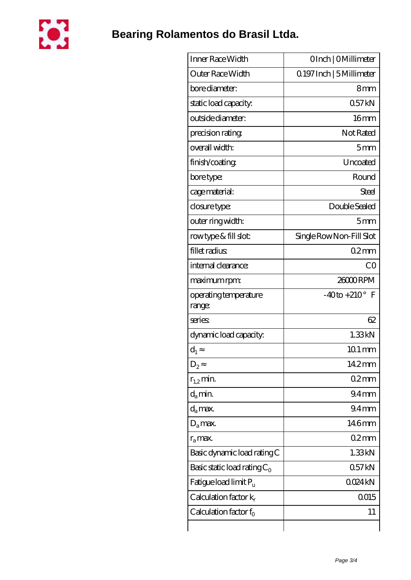

| Inner Race Width                  | OInch   OMillimeter       |
|-----------------------------------|---------------------------|
| Outer Race Width                  | Q 197 Inch   5 Millimeter |
| bore diameter:                    | 8 <sub>mm</sub>           |
| static load capacity.             | 057kN                     |
| outside diameter:                 | 16 <sub>mm</sub>          |
| precision rating                  | Not Rated                 |
| overall width:                    | 5mm                       |
| finish/coating                    | Uncoated                  |
| bore type:                        | Round                     |
| cage material:                    | Steel                     |
| closure type:                     | Double Sealed             |
| outer ring width:                 | 5 <sub>mm</sub>           |
| rowtype & fill slot:              | Single Row Non-Fill Slot  |
| fillet radius                     | 02mm                      |
| internal clearance:               | CO                        |
| maximum rpm:                      | 26000RPM                  |
| operating temperature<br>range:   | $-40$ to $+210^{\circ}$ F |
| series                            | 62                        |
| dynamic load capacity:            | 1.33kN                    |
| $d_1$                             | $101 \,\mathrm{mm}$       |
| $D_2$                             | 14.2mm                    |
| $r_{1,2}$ min.                    | 02mm                      |
| $d_{a}$ min.                      | 94 <sub>mm</sub>          |
| $d_a$ max.                        | 94 <sub>mm</sub>          |
| $D_a$ max.                        | 146mm                     |
| $r_a$ max.                        | 02mm                      |
| Basic dynamic load rating C       | 1.33kN                    |
| Basic static load rating $C_0$    | 057kN                     |
| Fatigue load limit P <sub>u</sub> | QO24kN                    |
| Calculation factor $k_r$          | 0015                      |
| Calculation factor $f_0$          | 11                        |
|                                   |                           |